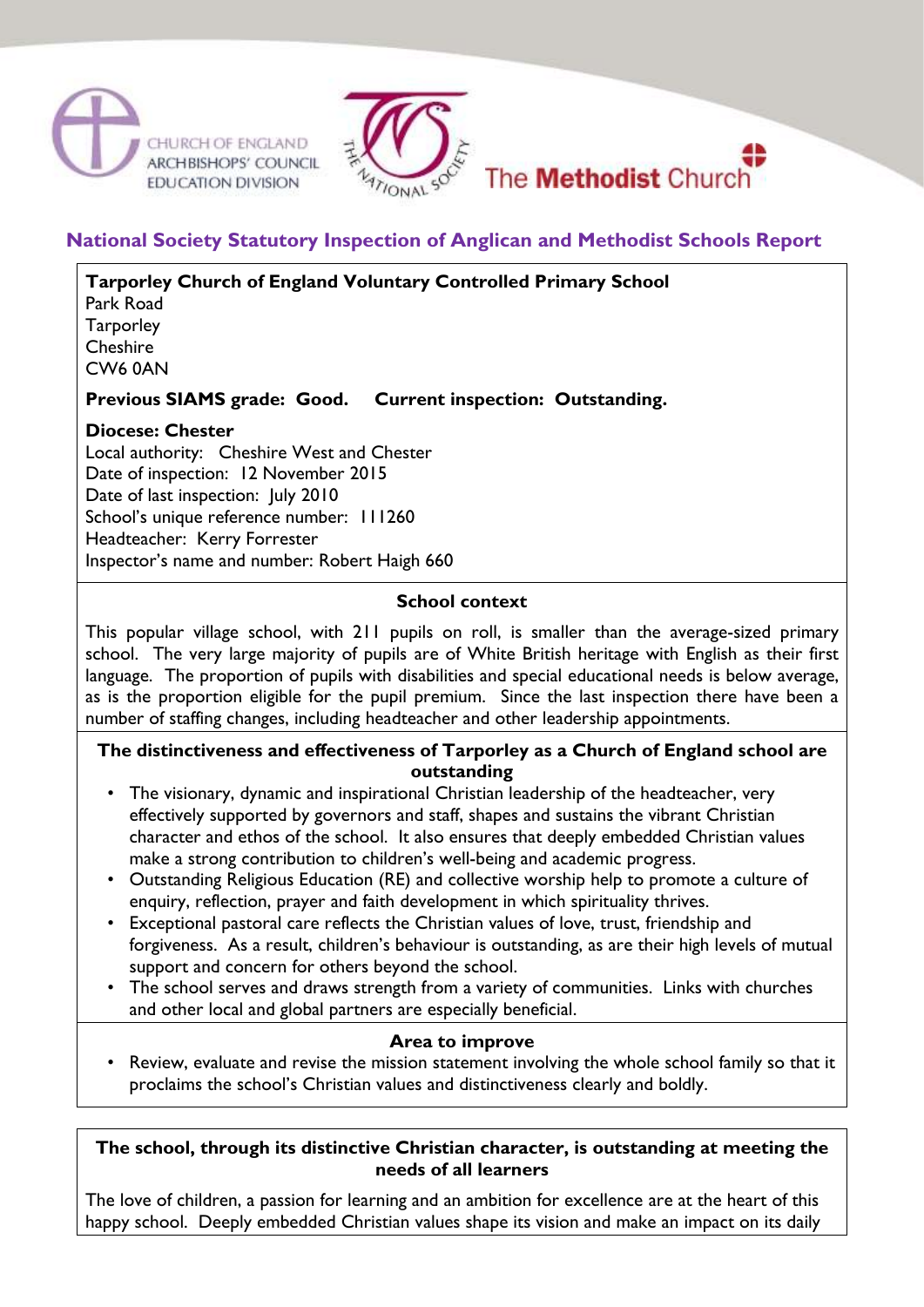



# **National Society Statutory Inspection of Anglican and Methodist Schools Report**

**Tarporley Church of England Voluntary Controlled Primary School** 

Park Road **Tarporley Cheshire** CW6 0AN

## **Previous SIAMS grade: Good. Current inspection: Outstanding.**

#### **Diocese: Chester**

Local authority: Cheshire West and Chester Date of inspection: 12 November 2015 Date of last inspection: July 2010 School's unique reference number: 111260 Headteacher: Kerry Forrester Inspector's name and number: Robert Haigh 660

#### **School context**

This popular village school, with 211 pupils on roll, is smaller than the average-sized primary school. The very large majority of pupils are of White British heritage with English as their first language. The proportion of pupils with disabilities and special educational needs is below average, as is the proportion eligible for the pupil premium. Since the last inspection there have been a number of staffing changes, including headteacher and other leadership appointments.

#### **The distinctiveness and effectiveness of Tarporley as a Church of England school are outstanding**

- The visionary, dynamic and inspirational Christian leadership of the headteacher, very effectively supported by governors and staff, shapes and sustains the vibrant Christian character and ethos of the school. It also ensures that deeply embedded Christian values make a strong contribution to children's well-being and academic progress.
- Outstanding Religious Education (RE) and collective worship help to promote a culture of enquiry, reflection, prayer and faith development in which spirituality thrives.
- Exceptional pastoral care reflects the Christian values of love, trust, friendship and forgiveness. As a result, children's behaviour is outstanding, as are their high levels of mutual support and concern for others beyond the school.
- The school serves and draws strength from a variety of communities. Links with churches and other local and global partners are especially beneficial.

#### **Area to improve**

• Review, evaluate and revise the mission statement involving the whole school family so that it proclaims the school's Christian values and distinctiveness clearly and boldly.

#### **The school, through its distinctive Christian character, is outstanding at meeting the needs of all learners**

The love of children, a passion for learning and an ambition for excellence are at the heart of this happy school. Deeply embedded Christian values shape its vision and make an impact on its daily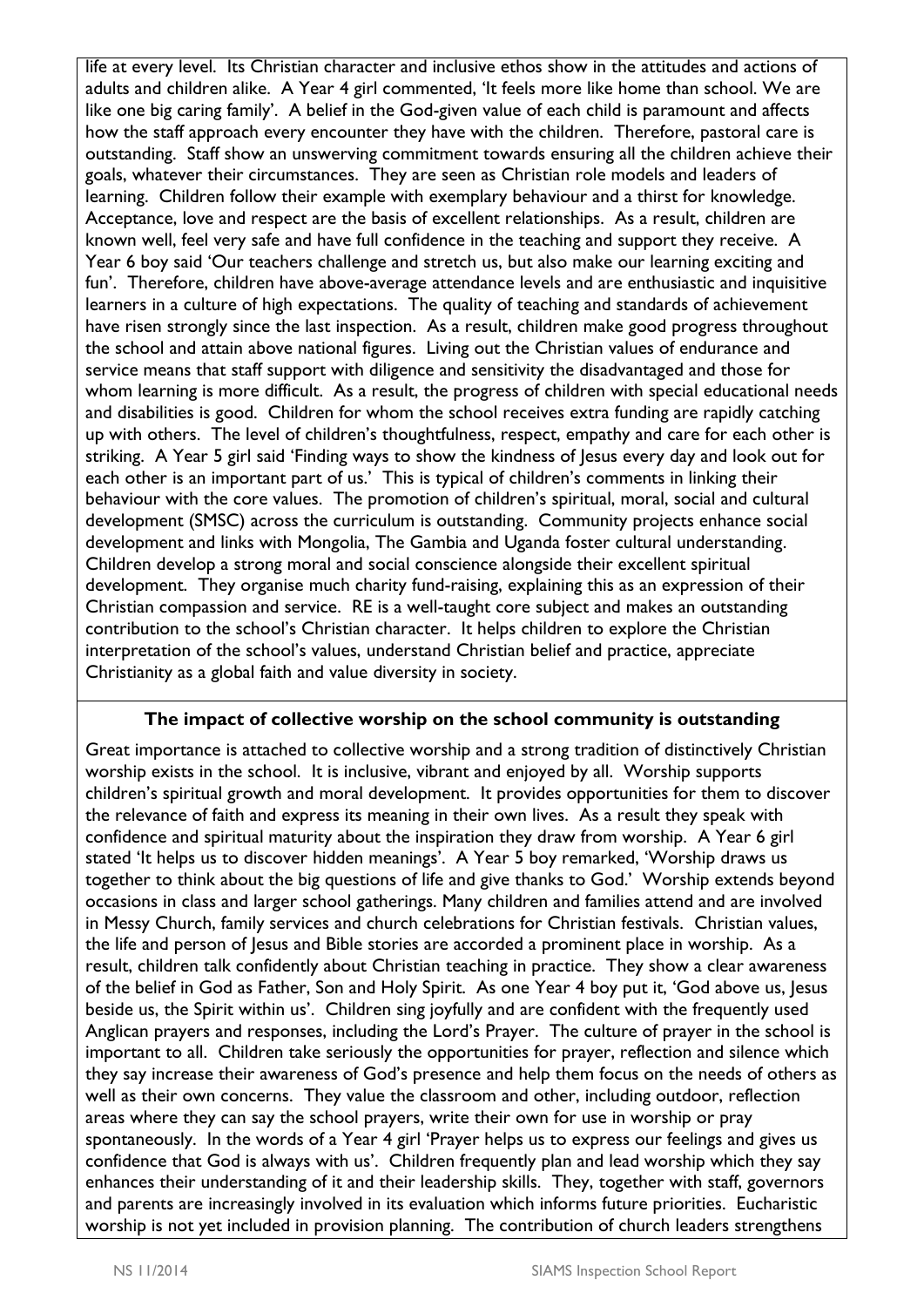life at every level. Its Christian character and inclusive ethos show in the attitudes and actions of adults and children alike. A Year 4 girl commented, 'It feels more like home than school. We are like one big caring family'. A belief in the God-given value of each child is paramount and affects how the staff approach every encounter they have with the children. Therefore, pastoral care is outstanding. Staff show an unswerving commitment towards ensuring all the children achieve their goals, whatever their circumstances. They are seen as Christian role models and leaders of learning. Children follow their example with exemplary behaviour and a thirst for knowledge. Acceptance, love and respect are the basis of excellent relationships. As a result, children are known well, feel very safe and have full confidence in the teaching and support they receive. A Year 6 boy said 'Our teachers challenge and stretch us, but also make our learning exciting and fun'. Therefore, children have above-average attendance levels and are enthusiastic and inquisitive learners in a culture of high expectations. The quality of teaching and standards of achievement have risen strongly since the last inspection. As a result, children make good progress throughout the school and attain above national figures. Living out the Christian values of endurance and service means that staff support with diligence and sensitivity the disadvantaged and those for whom learning is more difficult. As a result, the progress of children with special educational needs and disabilities is good. Children for whom the school receives extra funding are rapidly catching up with others. The level of children's thoughtfulness, respect, empathy and care for each other is striking. A Year 5 girl said 'Finding ways to show the kindness of Jesus every day and look out for each other is an important part of us.' This is typical of children's comments in linking their behaviour with the core values. The promotion of children's spiritual, moral, social and cultural development (SMSC) across the curriculum is outstanding. Community projects enhance social development and links with Mongolia, The Gambia and Uganda foster cultural understanding. Children develop a strong moral and social conscience alongside their excellent spiritual development. They organise much charity fund-raising, explaining this as an expression of their Christian compassion and service. RE is a well-taught core subject and makes an outstanding contribution to the school's Christian character. It helps children to explore the Christian interpretation of the school's values, understand Christian belief and practice, appreciate Christianity as a global faith and value diversity in society.

## **The impact of collective worship on the school community is outstanding**

Great importance is attached to collective worship and a strong tradition of distinctively Christian worship exists in the school. It is inclusive, vibrant and enjoyed by all. Worship supports children's spiritual growth and moral development. It provides opportunities for them to discover the relevance of faith and express its meaning in their own lives. As a result they speak with confidence and spiritual maturity about the inspiration they draw from worship. A Year 6 girl stated 'It helps us to discover hidden meanings'. A Year 5 boy remarked, 'Worship draws us together to think about the big questions of life and give thanks to God.' Worship extends beyond occasions in class and larger school gatherings. Many children and families attend and are involved in Messy Church, family services and church celebrations for Christian festivals. Christian values, the life and person of Jesus and Bible stories are accorded a prominent place in worship. As a result, children talk confidently about Christian teaching in practice. They show a clear awareness of the belief in God as Father, Son and Holy Spirit. As one Year 4 boy put it, 'God above us, Jesus beside us, the Spirit within us'. Children sing joyfully and are confident with the frequently used Anglican prayers and responses, including the Lord's Prayer. The culture of prayer in the school is important to all. Children take seriously the opportunities for prayer, reflection and silence which they say increase their awareness of God's presence and help them focus on the needs of others as well as their own concerns. They value the classroom and other, including outdoor, reflection areas where they can say the school prayers, write their own for use in worship or pray spontaneously. In the words of a Year 4 girl 'Prayer helps us to express our feelings and gives us confidence that God is always with us'. Children frequently plan and lead worship which they say enhances their understanding of it and their leadership skills. They, together with staff, governors and parents are increasingly involved in its evaluation which informs future priorities. Eucharistic worship is not yet included in provision planning. The contribution of church leaders strengthens